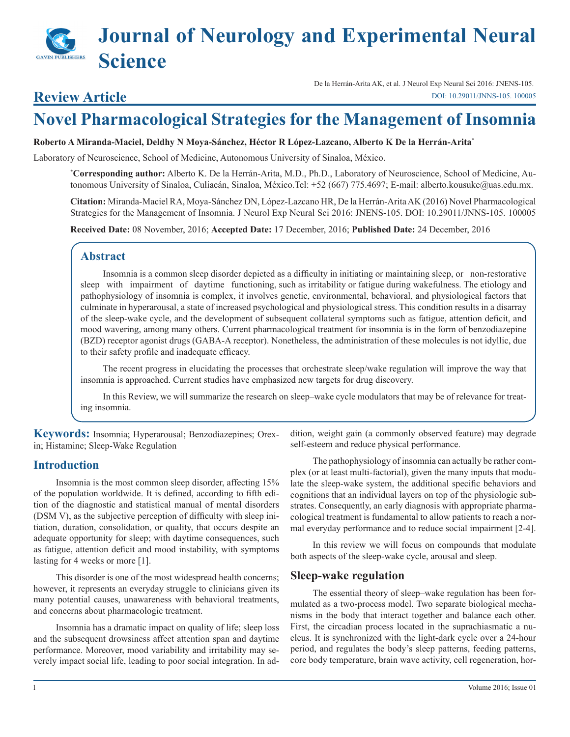# **Journal of Neurology and Experimental Neural Science**

## **Review Article**

De la Herrán-Arita AK, et al. J Neurol Exp Neural Sci 2016: JNENS-105. [DOI: 10.29011/JNNS-105. 100005](http://doi.org/10.29011/JNNS-105. 100005)

## **Novel Pharmacological Strategies for the Management of Insomnia**

### **Roberto A Miranda-Maciel, Deldhy N Moya-Sánchez, Héctor R López-Lazcano, Alberto K De la Herrán-Arita\***

Laboratory of Neuroscience, School of Medicine, Autonomous University of Sinaloa, México.

**\* Corresponding author:** Alberto K. De la Herrán-Arita, M.D., Ph.D., Laboratory of Neuroscience, School of Medicine, Autonomous University of Sinaloa, Culiacán, Sinaloa, México.Tel: +52 (667) 775.4697; E-mail: alberto.kousuke@uas.edu.mx.

**Citation:** Miranda-Maciel RA, Moya-Sánchez DN, López-Lazcano HR, De la Herrán-Arita AK (2016) Novel Pharmacological Strategies for the Management of Insomnia. J Neurol Exp Neural Sci 2016: JNENS-105. DOI: 10.29011/JNNS-105. 100005

**Received Date:** 08 November, 2016; **Accepted Date:** 17 December, 2016; **Published Date:** 24 December, 2016

## **Abstract**

Insomnia is a common sleep disorder depicted as a difficulty in initiating or maintaining sleep, or non-restorative sleep with impairment of daytime functioning, such as irritability or fatigue during wakefulness. The etiology and pathophysiology of insomnia is complex, it involves genetic, environmental, behavioral, and physiological factors that culminate in hyperarousal, a state of increased psychological and physiological stress. This condition results in a disarray of the sleep-wake cycle, and the development of subsequent collateral symptoms such as fatigue, attention deficit, and mood wavering, among many others. Current pharmacological treatment for insomnia is in the form of benzodiazepine (BZD) receptor agonist drugs (GABA-A receptor). Nonetheless, the administration of these molecules is not idyllic, due to their safety profile and inadequate efficacy.

The recent progress in elucidating the processes that orchestrate sleep/wake regulation will improve the way that insomnia is approached. Current studies have emphasized new targets for drug discovery.

In this Review, we will summarize the research on sleep–wake cycle modulators that may be of relevance for treating insomnia.

**Keywords:** Insomnia; Hyperarousal; Benzodiazepines; Orexin; Histamine; Sleep-Wake Regulation

## **Introduction**

Insomnia is the most common sleep disorder, affecting 15% of the population worldwide. It is defined, according to fifth edition of the diagnostic and statistical manual of mental disorders (DSM V), as the subjective perception of difficulty with sleep initiation, duration, consolidation, or quality, that occurs despite an adequate opportunity for sleep; with daytime consequences, such as fatigue, attention deficit and mood instability, with symptoms lasting for 4 weeks or more [1].

This disorder is one of the most widespread health concerns; however, it represents an everyday struggle to clinicians given its many potential causes, unawareness with behavioral treatments, and concerns about pharmacologic treatment.

Insomnia has a dramatic impact on quality of life; sleep loss and the subsequent drowsiness affect attention span and daytime performance. Moreover, mood variability and irritability may severely impact social life, leading to poor social integration. In addition, weight gain (a commonly observed feature) may degrade self-esteem and reduce physical performance.

The pathophysiology of insomnia can actually be rather complex (or at least multi-factorial), given the many inputs that modulate the sleep-wake system, the additional specific behaviors and cognitions that an individual layers on top of the physiologic substrates. Consequently, an early diagnosis with appropriate pharmacological treatment is fundamental to allow patients to reach a normal everyday performance and to reduce social impairment [2-4].

In this review we will focus on compounds that modulate both aspects of the sleep-wake cycle, arousal and sleep.

## **Sleep-wake regulation**

The essential theory of sleep–wake regulation has been formulated as a two-process model. Two separate biological mechanisms in the body that interact together and balance each other. First, the circadian process located in the suprachiasmatic a nucleus. It is synchronized with the light-dark cycle over a 24-hour period, and regulates the body's sleep patterns, feeding patterns, core body temperature, brain wave activity, cell regeneration, hor-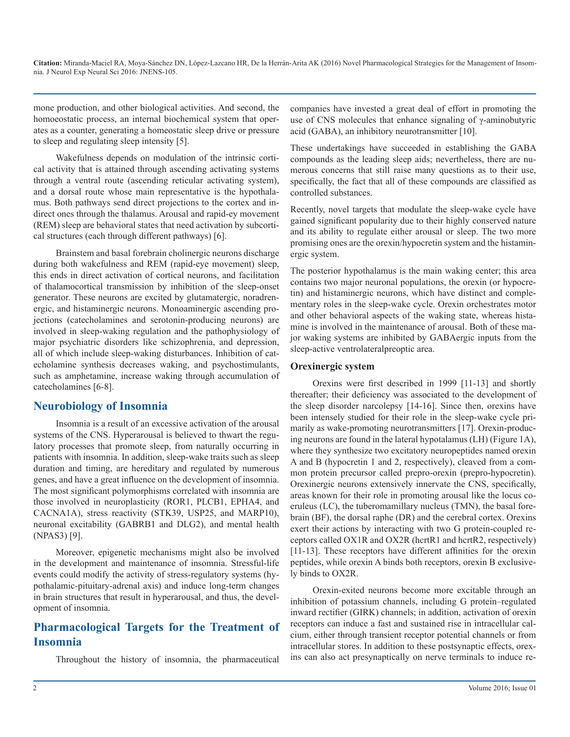mone production, and other biological activities. And second, the homoeostatic process, an internal biochemical system that operates as a counter, generating a homeostatic sleep drive or pressure to sleep and regulating sleep intensity [5].

Wakefulness depends on modulation of the intrinsic cortical activity that is attained through ascending activating systems through a ventral route (ascending reticular activating system), and a dorsal route whose main representative is the hypothalamus. Both pathways send direct projections to the cortex and indirect ones through the thalamus. Arousal and rapid-ey movement (REM) sleep are behavioral states that need activation by subcortical structures (each through different pathways) [6].

Brainstem and basal forebrain cholinergic neurons discharge during both wakefulness and REM (rapid-eye movement) sleep, this ends in direct activation of cortical neurons, and facilitation of thalamocortical transmission by inhibition of the sleep-onset generator. These neurons are excited by glutamatergic, noradrenergic, and histaminergic neurons. Monoaminergic ascending projections (catecholamines and serotonin-producing neurons) are involved in sleep-waking regulation and the pathophysiology of major psychiatric disorders like schizophrenia, and depression, all of which include sleep-waking disturbances. Inhibition of catecholamine synthesis decreases waking, and psychostimulants, such as amphetamine, increase waking through accumulation of catecholamines [6-8].

## **Neurobiology of Insomnia**

Insomnia is a result of an excessive activation of the arousal systems of the CNS. Hyperarousal is believed to thwart the regulatory processes that promote sleep, from naturally occurring in patients with insomnia. In addition, sleep-wake traits such as sleep duration and timing, are hereditary and regulated by numerous genes, and have a great influence on the development of insomnia. The most significant polymorphisms correlated with insomnia are those involved in neuroplasticity (ROR1, PLCB1, EPHA4, and CACNA1A), stress reactivity (STK39, USP25, and MARP10), neuronal excitability (GABRB1 and DLG2), and mental health (NPAS3) [9].

Moreover, epigenetic mechanisms might also be involved in the development and maintenance of insomnia. Stressful-life events could modify the activity of stress-regulatory systems (hypothalamic-pituitary-adrenal axis) and induce long-term changes in brain structures that result in hyperarousal, and thus, the development of insomnia.

## **Pharmacological Targets for the Treatment of Insomnia**

Throughout the history of insomnia, the pharmaceutical

companies have invested a great deal of effort in promoting the use of CNS molecules that enhance signaling of γ-aminobutyric acid (GABA), an inhibitory neurotransmitter [10].

These undertakings have succeeded in establishing the GABA compounds as the leading sleep aids; nevertheless, there are numerous concerns that still raise many questions as to their use, specifically, the fact that all of these compounds are classified as controlled substances.

Recently, novel targets that modulate the sleep-wake cycle have gained significant popularity due to their highly conserved nature and its ability to regulate either arousal or sleep. The two more promising ones are the orexin/hypocretin system and the histaminergic system.

The posterior hypothalamus is the main waking center; this area contains two major neuronal populations, the orexin (or hypocretin) and histaminergic neurons, which have distinct and complementary roles in the sleep-wake cycle. Orexin orchestrates motor and other behavioral aspects of the waking state, whereas histamine is involved in the maintenance of arousal. Both of these major waking systems are inhibited by GABAergic inputs from the sleep-active ventrolateralpreoptic area.

## **Orexinergic system**

Orexins were first described in 1999 [11-13] and shortly thereafter; their deficiency was associated to the development of the sleep disorder narcolepsy [14-16]. Since then, orexins have been intensely studied for their role in the sleep-wake cycle primarily as wake-promoting neurotransmitters [17]. Orexin-producing neurons are found in the lateral hypotalamus (LH) (Figure 1A), where they synthesize two excitatory neuropeptides named orexin A and B (hypocretin 1 and 2, respectively), cleaved from a common protein precursor called prepro-orexin (prepro-hypocretin). Orexinergic neurons extensively innervate the CNS, specifically, areas known for their role in promoting arousal like the locus coeruleus (LC), the tuberomamillary nucleus (TMN), the basal forebrain (BF), the dorsal raphe (DR) and the cerebral cortex. Orexins exert their actions by interacting with two G protein-coupled receptors called OX1R and OX2R (hcrtR1 and hcrtR2, respectively) [11-13]. These receptors have different affinities for the orexin peptides, while orexin A binds both receptors, orexin B exclusively binds to OX2R.

Orexin-exited neurons become more excitable through an inhibition of potassium channels, including G protein–regulated inward rectifier (GIRK) channels; in addition, activation of orexin receptors can induce a fast and sustained rise in intracellular calcium, either through transient receptor potential channels or from intracellular stores. In addition to these postsynaptic effects, orexins can also act presynaptically on nerve terminals to induce re-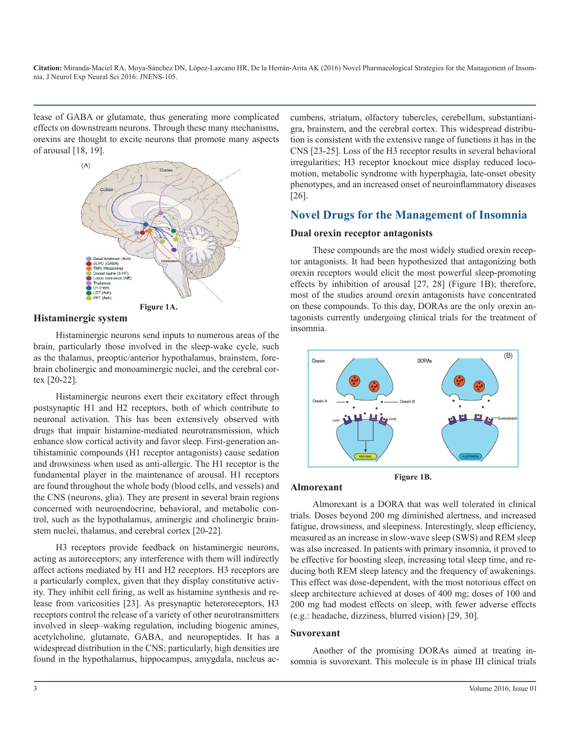lease of GABA or glutamate, thus generating more complicated effects on downstream neurons. Through these many mechanisms, orexins are thought to excite neurons that promote many aspects of arousal [18, 19].



#### **Histaminergic system**

Histaminergic neurons send inputs to numerous areas of the brain, particularly those involved in the sleep-wake cycle, such as the thalamus, preoptic/anterior hypothalamus, brainstem, forebrain cholinergic and monoaminergic nuclei, and the cerebral cortex [20-22].

Histaminergic neurons exert their excitatory effect through postsynaptic H1 and H2 receptors, both of which contribute to neuronal activation. This has been extensively observed with drugs that impair histamine-mediated neurotransmission, which enhance slow cortical activity and favor sleep. First-generation antihistaminic compounds (H1 receptor antagonists) cause sedation and drowsiness when used as anti-allergic. The H1 receptor is the fundamental player in the maintenance of arousal. H1 receptors are found throughout the whole body (blood cells, and vessels) and the CNS (neurons, glia). They are present in several brain regions concerned with neuroendocrine, behavioral, and metabolic control, such as the hypothalamus, aminergic and cholinergic brainstem nuclei, thalamus, and cerebral cortex [20-22].

H3 receptors provide feedback on histaminergic neurons, acting as autoreceptors; any interference with them will indirectly affect actions mediated by H1 and H2 receptors. H3 receptors are a particularly complex, given that they display constitutive activity. They inhibit cell firing, as well as histamine synthesis and release from varicosities [23]. As presynaptic heteroreceptors, H3 receptors control the release of a variety of other neurotransmitters involved in sleep–waking regulation, including biogenic amines, acetylcholine, glutamate, GABA, and neuropeptides. It has a widespread distribution in the CNS; particularly, high densities are found in the hypothalamus, hippocampus, amygdala, nucleus ac-

cumbens, striatum, olfactory tubercles, cerebellum, substantianigra, brainstem, and the cerebral cortex. This widespread distribution is consistent with the extensive range of functions it has in the CNS [23-25]. Loss of the H3 receptor results in several behavioral irregularities; H3 receptor knockout mice display reduced locomotion, metabolic syndrome with hyperphagia, late-onset obesity phenotypes, and an increased onset of neuroinflammatory diseases [26].

## **Novel Drugs for the Management of Insomnia**

## **Dual orexin receptor antagonists**

These compounds are the most widely studied orexin receptor antagonists. It had been hypothesized that antagonizing both orexin receptors would elicit the most powerful sleep-promoting effects by inhibition of arousal [27, 28] (Figure 1B); therefore, most of the studies around orexin antagonists have concentrated on these compounds. To this day, DORAs are the only orexin antagonists currently undergoing clinical trials for the treatment of insomnia.



### **Almorexant**

Almorexant is a DORA that was well tolerated in clinical trials. Doses beyond 200 mg diminished alertness, and increased fatigue, drowsiness, and sleepiness. Interestingly, sleep efficiency, measured as an increase in slow-wave sleep (SWS) and REM sleep was also increased. In patients with primary insomnia, it proved to be effective for boosting sleep, increasing total sleep time, and reducing both REM sleep latency and the frequency of awakenings. This effect was dose-dependent, with the most notorious effect on sleep architecture achieved at doses of 400 mg; doses of 100 and 200 mg had modest effects on sleep, with fewer adverse effects (e.g.: headache, dizziness, blurred vision) [29, 30].

#### **Suvorexant**

Another of the promising DORAs aimed at treating insomnia is suvorexant. This molecule is in phase III clinical trials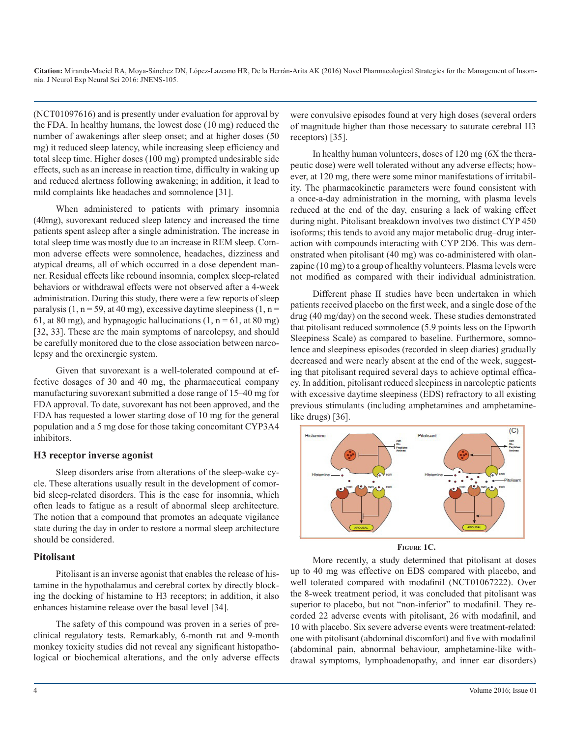(NCT01097616) and is presently under evaluation for approval by the FDA. In healthy humans, the lowest dose (10 mg) reduced the number of awakenings after sleep onset; and at higher doses (50 mg) it reduced sleep latency, while increasing sleep efficiency and total sleep time. Higher doses (100 mg) prompted undesirable side effects, such as an increase in reaction time, difficulty in waking up and reduced alertness following awakening; in addition, it lead to mild complaints like headaches and somnolence [31].

When administered to patients with primary insomnia (40mg), suvorexant reduced sleep latency and increased the time patients spent asleep after a single administration. The increase in total sleep time was mostly due to an increase in REM sleep. Common adverse effects were somnolence, headaches, dizziness and atypical dreams, all of which occurred in a dose dependent manner. Residual effects like rebound insomnia, complex sleep-related behaviors or withdrawal effects were not observed after a 4-week administration. During this study, there were a few reports of sleep paralysis (1,  $n = 59$ , at 40 mg), excessive daytime sleepiness (1,  $n =$ 61, at 80 mg), and hypnagogic hallucinations  $(1, n = 61, at 80$  mg) [32, 33]. These are the main symptoms of narcolepsy, and should be carefully monitored due to the close association between narcolepsy and the orexinergic system.

Given that suvorexant is a well-tolerated compound at effective dosages of 30 and 40 mg, the pharmaceutical company manufacturing suvorexant submitted a dose range of 15–40 mg for FDA approval. To date, suvorexant has not been approved, and the FDA has requested a lower starting dose of 10 mg for the general population and a 5 mg dose for those taking concomitant CYP3A4 inhibitors.

### **H3 receptor inverse agonist**

Sleep disorders arise from alterations of the sleep-wake cycle. These alterations usually result in the development of comorbid sleep-related disorders. This is the case for insomnia, which often leads to fatigue as a result of abnormal sleep architecture. The notion that a compound that promotes an adequate vigilance state during the day in order to restore a normal sleep architecture should be considered.

## **Pitolisant**

Pitolisant is an inverse agonist that enables the release of histamine in the hypothalamus and cerebral cortex by directly blocking the docking of histamine to H3 receptors; in addition, it also enhances histamine release over the basal level [34].

The safety of this compound was proven in a series of preclinical regulatory tests. Remarkably, 6-month rat and 9-month monkey toxicity studies did not reveal any significant histopathological or biochemical alterations, and the only adverse effects were convulsive episodes found at very high doses (several orders of magnitude higher than those necessary to saturate cerebral H3 receptors) [35].

In healthy human volunteers, doses of 120 mg (6X the therapeutic dose) were well tolerated without any adverse effects; however, at 120 mg, there were some minor manifestations of irritability. The pharmacokinetic parameters were found consistent with a once-a-day administration in the morning, with plasma levels reduced at the end of the day, ensuring a lack of waking effect during night. Pitolisant breakdown involves two distinct CYP 450 isoforms; this tends to avoid any major metabolic drug–drug interaction with compounds interacting with CYP 2D6. This was demonstrated when pitolisant (40 mg) was co-administered with olanzapine (10 mg) to a group of healthy volunteers. Plasma levels were not modified as compared with their individual administration.

Different phase II studies have been undertaken in which patients received placebo on the first week, and a single dose of the drug (40 mg/day) on the second week. These studies demonstrated that pitolisant reduced somnolence (5.9 points less on the Epworth Sleepiness Scale) as compared to baseline. Furthermore, somnolence and sleepiness episodes (recorded in sleep diaries) gradually decreased and were nearly absent at the end of the week, suggesting that pitolisant required several days to achieve optimal efficacy. In addition, pitolisant reduced sleepiness in narcoleptic patients with excessive daytime sleepiness (EDS) refractory to all existing previous stimulants (including amphetamines and amphetaminelike drugs) [36].



**Figure 1C.**

More recently, a study determined that pitolisant at doses up to 40 mg was effective on EDS compared with placebo, and well tolerated compared with modafinil (NCT01067222). Over the 8-week treatment period, it was concluded that pitolisant was superior to placebo, but not "non-inferior" to modafinil. They recorded 22 adverse events with pitolisant, 26 with modafinil, and 10 with placebo. Six severe adverse events were treatment-related: one with pitolisant (abdominal discomfort) and five with modafinil (abdominal pain, abnormal behaviour, amphetamine-like withdrawal symptoms, lymphoadenopathy, and inner ear disorders)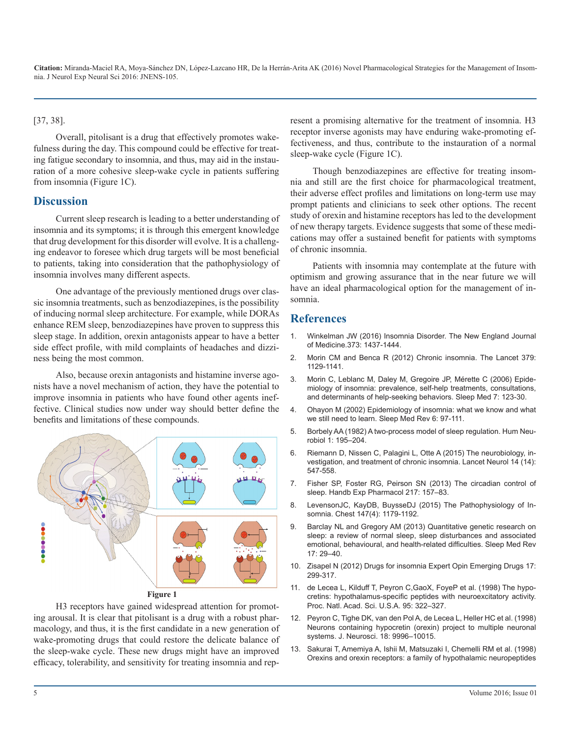#### [37, 38].

Overall, pitolisant is a drug that effectively promotes wakefulness during the day. This compound could be effective for treating fatigue secondary to insomnia, and thus, may aid in the instauration of a more cohesive sleep-wake cycle in patients suffering from insomnia (Figure 1C).

## **Discussion**

Current sleep research is leading to a better understanding of insomnia and its symptoms; it is through this emergent knowledge that drug development for this disorder will evolve. It is a challenging endeavor to foresee which drug targets will be most beneficial to patients, taking into consideration that the pathophysiology of insomnia involves many different aspects.

One advantage of the previously mentioned drugs over classic insomnia treatments, such as benzodiazepines, is the possibility of inducing normal sleep architecture. For example, while DORAs enhance REM sleep, benzodiazepines have proven to suppress this sleep stage. In addition, orexin antagonists appear to have a better [side effect profile, with mild complaints of headaches and dizzi](http://www.nejm.org/doi/full/10.1056/NEJMcp1412740)ness being the most common.

Also, because orexin antagonists and histamine inverse ago[nists have a novel mechanism of action, they have the potential to](http://www.sleep-journal.com/article/S1389-9457(05)00195-4/abstract)  improve insomnia in patients who have found other agents ineffective. Clinical studies now under way should better define the [benefits and limitations of these compounds.](http://www.sciencedirect.com/science/article/pii/S1087079202901863)



#### **[Figure 1](http://www.cell.com/cell/abstract/S0092-8674(00)80949-6?_returnURL=http%3A%2F%2Flinkinghub.elsevier.com%2Fretrieve%2Fpii%2FS0092867400809496%3Fshowall%3Dtrue)**

H3 receptors have gained widespread attention for promoting arousal. It is clear that pitolisant is a drug with a robust phar[macology, and thus, it is the first candidate in a new generation of](http://www.jneurosci.org/content/18/23/9996.short)  wake-promoting drugs that could restore the delicate balance of the sleep-wake cycle. These new drugs might have an improved efficacy, tolerability, and sensitivity for treating insomnia and represent a promising alternative for the treatment of insomnia. H3 receptor inverse agonists may have enduring wake-promoting effectiveness, and thus, contribute to the instauration of a normal sleep-wake cycle (Figure 1C).

Though benzodiazepines are effective for treating insomnia and still are the first choice for pharmacological treatment, their adverse effect profiles and limitations on long-term use may prompt patients and clinicians to seek other options. The recent study of orexin and histamine receptors has led to the development of new therapy targets. Evidence suggests that some of these medications may offer a sustained benefit for patients with symptoms of chronic insomnia.

Patients with insomnia may contemplate at the future with optimism and growing assurance that in the near future we will have an ideal pharmacological option for the management of insomnia.

## **References**

- 1. [Winkelman JW \(2016\) Insomnia Disorder. The New England Journal](http://www.nejm.org/doi/full/10.1056/NEJMcp1412740)  of Medicine.373: 1437-1444.
- 2. Morin CM and Benca R (2012) Chronic insomnia. The Lancet 379: 1129-1141.
- 3. [Morin C, Leblanc M, Daley M, Gregoire JP, Mérette C \(2006\) Epide](http://www.sleep-journal.com/article/S1389-9457(05)00195-4/abstract)miology of insomnia: prevalence, self-help treatments, consultations, [and determinants of help-seeking behaviors. Sleep Med 7: 123-30.](http://www.sleep-journal.com/article/S1389-9457(05)00195-4/abstract)
- 4. [Ohayon M \(2002\) Epidemiology of insomnia: what we know and what](http://www.sciencedirect.com/science/article/pii/S1087079202901863)  we still need to learn. Sleep Med Rev 6: 97-111.
- 5. [Borbely AA \(1982\) A two-process model of sleep regulation. Hum Neu](http://psycnet.apa.org/psycinfo/1984-06068-001)[robiol 1: 195–204.](http://psycnet.apa.org/psycinfo/1984-06068-001)
- 6. [Riemann D, Nissen C, Palagini L, Otte A \(2015\) The neurobiology, in](http://www.thelancet.com/journals/laneur/article/PIIS1474-4422(15)00021-6/abstract)[vestigation, and treatment of chronic insomnia. Lancet Neurol 14 \(14\):](http://www.thelancet.com/journals/laneur/article/PIIS1474-4422(15)00021-6/abstract)  [547-558.](http://www.thelancet.com/journals/laneur/article/PIIS1474-4422(15)00021-6/abstract)
- 7. Fisher SP, Foster RG, Peirson SN (2013) The circadian control of sleep. Handb Exp Pharmacol 217: 157–83.
- 8. [LevensonJC, KayDB, BuysseDJ \(2015\) The Pathophysiology of In](http://journal.publications.chestnet.org/article.aspx?articleid=2211923)[somnia. Chest 147\(4\): 1179-1192.](http://journal.publications.chestnet.org/article.aspx?articleid=2211923)
- 9. [Barclay NL and Gregory AM \(2013\) Quantitative genetic research on](http://www.sciencedirect.com/science/article/pii/S108707921200010X)  [sleep: a review of normal sleep, sleep disturbances and associated](http://www.sciencedirect.com/science/article/pii/S108707921200010X)  [emotional, behavioural, and health-related difficulties. Sleep Med Rev](http://www.sciencedirect.com/science/article/pii/S108707921200010X) [17: 29–40.](http://www.sciencedirect.com/science/article/pii/S108707921200010X)
- 10. [Zisapel N \(2012\) Drugs for insomnia Expert Opin Emerging Drugs 17:](http://www.tandfonline.com/doi/abs/10.1517/14728214.2012.690735) [299-317](http://www.tandfonline.com/doi/abs/10.1517/14728214.2012.690735).
- 11. [de Lecea L, Kilduff T, Peyron C,GaoX, FoyeP et al. \(1998\) The hypo](http://www.pnas.org/content/95/1/322.short)[cretins: hypothalamus-specific peptides with neuroexcitatory activity.](http://www.pnas.org/content/95/1/322.short) [Proc. Natl. Acad. Sci. U.S.A. 95: 322–327.](http://www.pnas.org/content/95/1/322.short)
- 12. [Peyron C, Tighe DK, van den Pol A, de Lecea L, Heller HC et al. \(1998\)](http://www.jneurosci.org/content/18/23/9996.short)  Neurons containing hypocretin (orexin) project to multiple neuronal [systems. J. Neurosci. 18: 9996–10015.](http://www.jneurosci.org/content/18/23/9996.short)
- 13. [Sakurai T, Amemiya A, Ishii M, Matsuzaki I, Chemelli RM et al. \(1998\)](http://www.cell.com/cell/abstract/S0092-8674(00)80949-6?_returnURL=http%3A%2F%2Flinkinghub.elsevier.com%2Fretrieve%2Fpii%2FS0092867400809496%3Fshowall%3Dtrue)  [Orexins and orexin receptors: a family of hypothalamic neuropeptides](http://www.cell.com/cell/abstract/S0092-8674(00)80949-6?_returnURL=http%3A%2F%2Flinkinghub.elsevier.com%2Fretrieve%2Fpii%2FS0092867400809496%3Fshowall%3Dtrue)